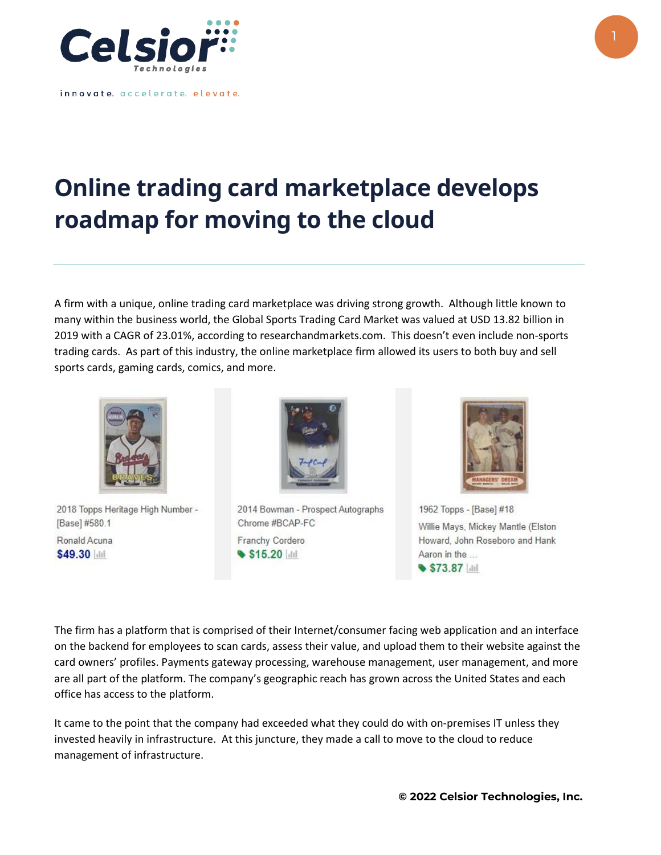

innovate. accelerate. elevate.

## **Online trading card marketplace develops roadmap for moving to the cloud**

A firm with a unique, online trading card marketplace was driving strong growth. Although little known to many within the business world, the Global Sports Trading Card Market was valued at USD 13.82 billion in 2019 with a CAGR of 23.01%, according to researchandmarkets.com. This doesn't even include non-sports trading cards. As part of this industry, the online marketplace firm allowed its users to both buy and sell sports cards, gaming cards, comics, and more.



2018 Topps Heritage High Number -[Base] #580.1 Ronald Acuna \$49.30 Mill



2014 Bowman - Prospect Autographs Chrome #BCAP-FC Franchy Cordero S15.20 Int



1962 Topps - [Base] #18 Willie Mays, Mickey Mantle (Elston Howard, John Roseboro and Hank Aaron in the ...  $$73.87$   $||$ 

The firm has a platform that is comprised of their Internet/consumer facing web application and an interface on the backend for employees to scan cards, assess their value, and upload them to their website against the card owners' profiles. Payments gateway processing, warehouse management, user management, and more are all part of the platform. The company's geographic reach has grown across the United States and each office has access to the platform.

It came to the point that the company had exceeded what they could do with on-premises IT unless they invested heavily in infrastructure. At this juncture, they made a call to move to the cloud to reduce management of infrastructure.